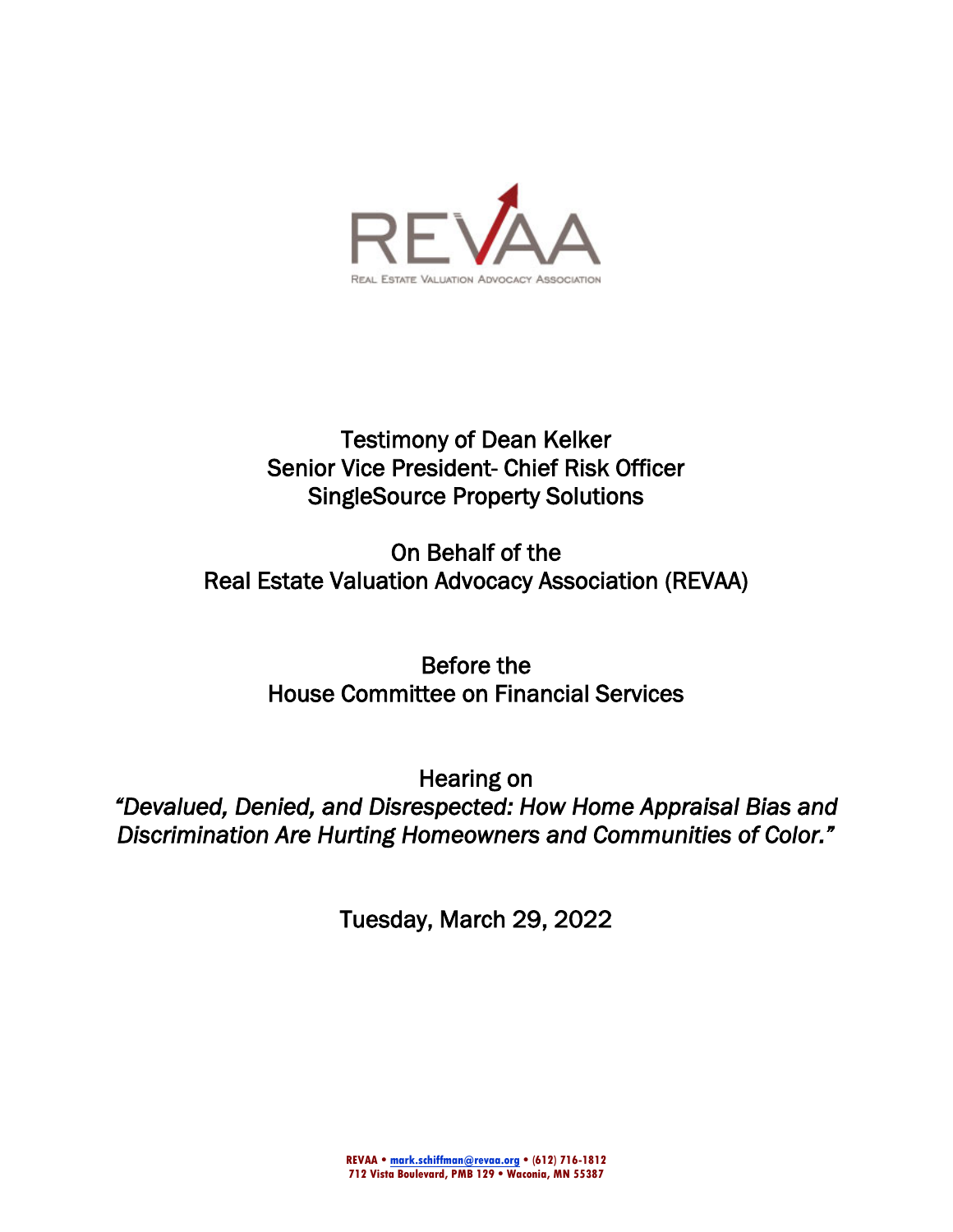

# Testimony of Dean Kelker Senior Vice President- Chief Risk Officer SingleSource Property Solutions

On Behalf of the Real Estate Valuation Advocacy Association (REVAA)

> Before the House Committee on Financial Services

Hearing on *"Devalued, Denied, and Disrespected: How Home Appraisal Bias and Discrimination Are Hurting Homeowners and Communities of Color."* 

Tuesday, March 29, 2022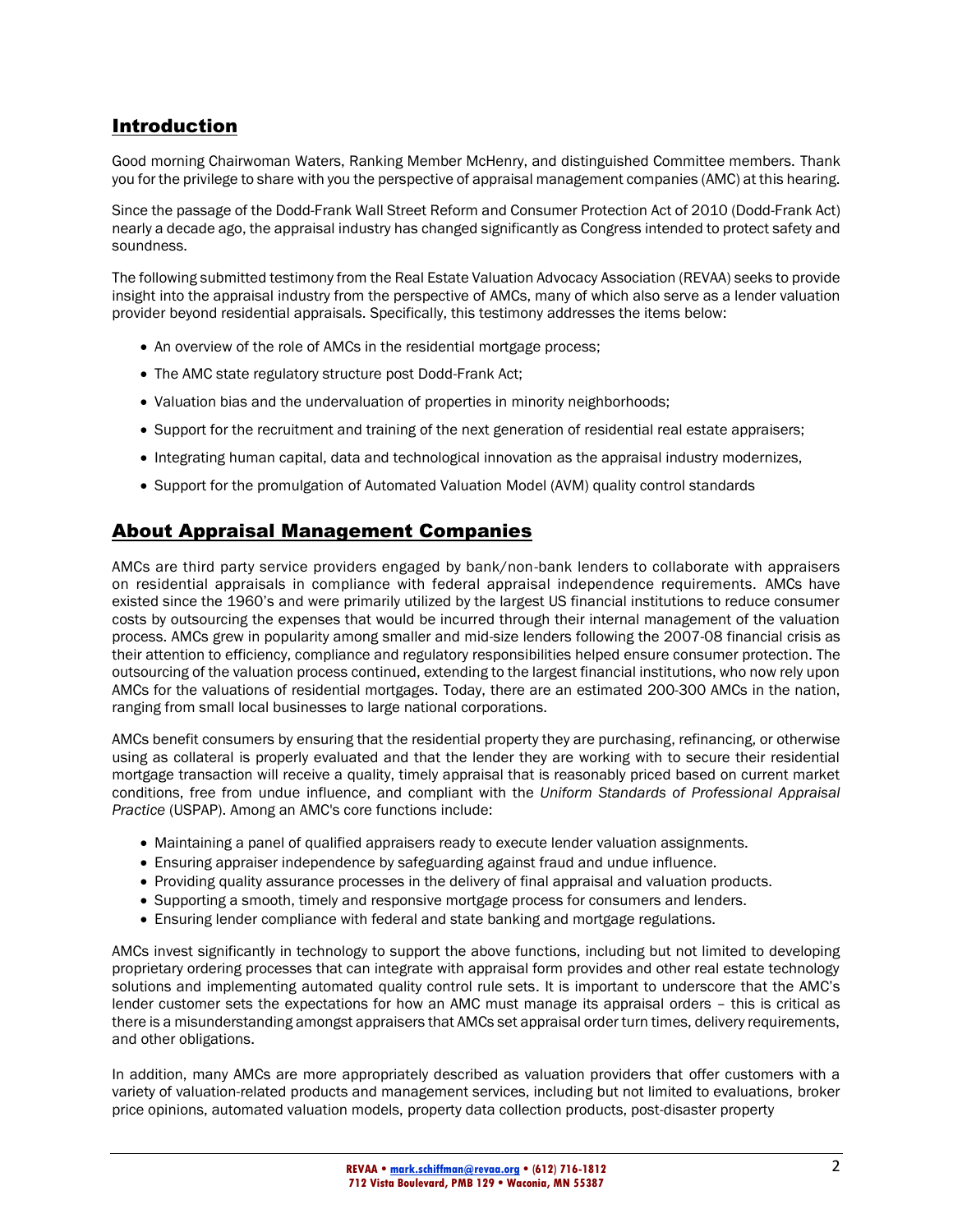### Introduction

Good morning Chairwoman Waters, Ranking Member McHenry, and distinguished Committee members. Thank you for the privilege to share with you the perspective of appraisal management companies (AMC) at this hearing.

Since the passage of the Dodd-Frank Wall Street Reform and Consumer Protection Act of 2010 (Dodd-Frank Act) nearly a decade ago, the appraisal industry has changed significantly as Congress intended to protect safety and soundness.

The following submitted testimony from the Real Estate Valuation Advocacy Association (REVAA) seeks to provide insight into the appraisal industry from the perspective of AMCs, many of which also serve as a lender valuation provider beyond residential appraisals. Specifically, this testimony addresses the items below:

- An overview of the role of AMCs in the residential mortgage process:
- The AMC state regulatory structure post Dodd-Frank Act;
- Valuation bias and the undervaluation of properties in minority neighborhoods;
- Support for the recruitment and training of the next generation of residential real estate appraisers;
- Integrating human capital, data and technological innovation as the appraisal industry modernizes,
- Support for the promulgation of Automated Valuation Model (AVM) quality control standards

### About Appraisal Management Companies

AMCs are third party service providers engaged by bank/non-bank lenders to collaborate with appraisers on residential appraisals in compliance with federal appraisal independence requirements. AMCs have existed since the 1960's and were primarily utilized by the largest US financial institutions to reduce consumer costs by outsourcing the expenses that would be incurred through their internal management of the valuation process. AMCs grew in popularity among smaller and mid-size lenders following the 2007-08 financial crisis as their attention to efficiency, compliance and regulatory responsibilities helped ensure consumer protection. The outsourcing of the valuation process continued, extending to the largest financial institutions, who now rely upon AMCs for the valuations of residential mortgages. Today, there are an estimated 200-300 AMCs in the nation, ranging from small local businesses to large national corporations.

AMCs benefit consumers by ensuring that the residential property they are purchasing, refinancing, or otherwise using as collateral is properly evaluated and that the lender they are working with to secure their residential mortgage transaction will receive a quality, timely appraisal that is reasonably priced based on current market conditions, free from undue influence, and compliant with the *Uniform Standards of Professional Appraisal Practice* (USPAP). Among an AMC's core functions include:

- Maintaining a panel of qualified appraisers ready to execute lender valuation assignments.
- Ensuring appraiser independence by safeguarding against fraud and undue influence.
- Providing quality assurance processes in the delivery of final appraisal and valuation products.
- Supporting a smooth, timely and responsive mortgage process for consumers and lenders.
- Ensuring lender compliance with federal and state banking and mortgage regulations.

AMCs invest significantly in technology to support the above functions, including but not limited to developing proprietary ordering processes that can integrate with appraisal form provides and other real estate technology solutions and implementing automated quality control rule sets. It is important to underscore that the AMC's lender customer sets the expectations for how an AMC must manage its appraisal orders – this is critical as there is a misunderstanding amongst appraisers that AMCs set appraisal order turn times, delivery requirements, and other obligations.

In addition, many AMCs are more appropriately described as valuation providers that offer customers with a variety of valuation-related products and management services, including but not limited to evaluations, broker price opinions, automated valuation models, property data collection products, post-disaster property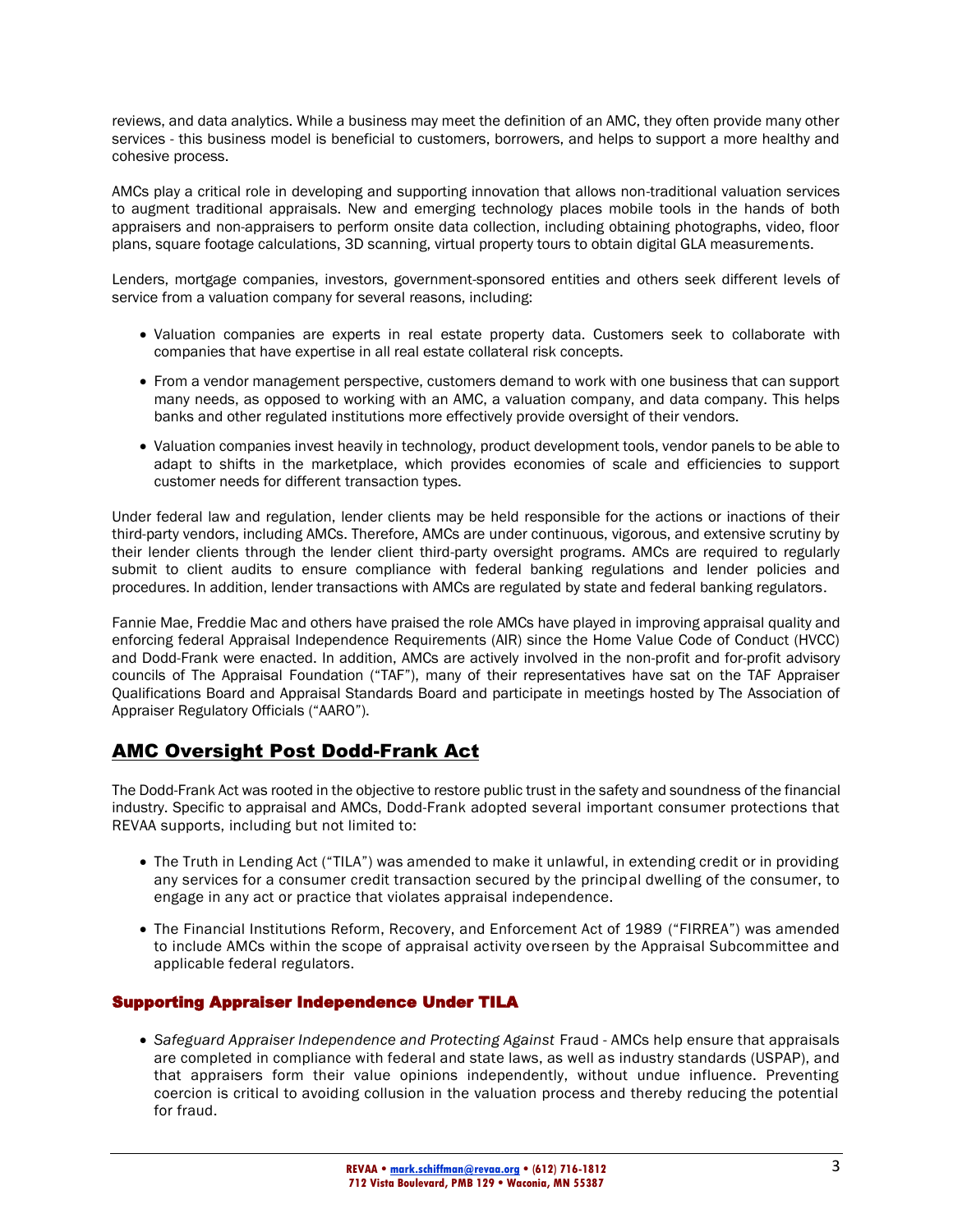reviews, and data analytics. While a business may meet the definition of an AMC, they often provide many other services - this business model is beneficial to customers, borrowers, and helps to support a more healthy and cohesive process.

AMCs play a critical role in developing and supporting innovation that allows non-traditional valuation services to augment traditional appraisals. New and emerging technology places mobile tools in the hands of both appraisers and non-appraisers to perform onsite data collection, including obtaining photographs, video, floor plans, square footage calculations, 3D scanning, virtual property tours to obtain digital GLA measurements.

Lenders, mortgage companies, investors, government-sponsored entities and others seek different levels of service from a valuation company for several reasons, including:

- Valuation companies are experts in real estate property data. Customers seek to collaborate with companies that have expertise in all real estate collateral risk concepts.
- From a vendor management perspective, customers demand to work with one business that can support many needs, as opposed to working with an AMC, a valuation company, and data company. This helps banks and other regulated institutions more effectively provide oversight of their vendors.
- Valuation companies invest heavily in technology, product development tools, vendor panels to be able to adapt to shifts in the marketplace, which provides economies of scale and efficiencies to support customer needs for different transaction types.

Under federal law and regulation, lender clients may be held responsible for the actions or inactions of their third-party vendors, including AMCs. Therefore, AMCs are under continuous, vigorous, and extensive scrutiny by their lender clients through the lender client third-party oversight programs. AMCs are required to regularly submit to client audits to ensure compliance with federal banking regulations and lender policies and procedures. In addition, lender transactions with AMCs are regulated by state and federal banking regulators.

Fannie Mae, Freddie Mac and others have praised the role AMCs have played in improving appraisal quality and enforcing federal Appraisal Independence Requirements (AIR) since the Home Value Code of Conduct (HVCC) and Dodd-Frank were enacted. In addition, AMCs are actively involved in the non-profit and for-profit advisory councils of The Appraisal Foundation ("TAF"), many of their representatives have sat on the TAF Appraiser Qualifications Board and Appraisal Standards Board and participate in meetings hosted by The Association of Appraiser Regulatory Officials ("AARO").

### AMC Oversight Post Dodd-Frank Act

The Dodd-Frank Act was rooted in the objective to restore public trust in the safety and soundness of the financial industry. Specific to appraisal and AMCs, Dodd-Frank adopted several important consumer protections that REVAA supports, including but not limited to:

- The Truth in Lending Act ("TILA") was amended to make it unlawful, in extending credit or in providing any services for a consumer credit transaction secured by the principal dwelling of the consumer, to engage in any act or practice that violates appraisal independence.
- The Financial Institutions Reform, Recovery, and Enforcement Act of 1989 ("FIRREA") was amended to include AMCs within the scope of appraisal activity overseen by the Appraisal Subcommittee and applicable federal regulators.

#### Supporting Appraiser Independence Under TILA

• *Safeguard Appraiser Independence and Protecting Against* Fraud - AMCs help ensure that appraisals are completed in compliance with federal and state laws, as well as industry standards (USPAP), and that appraisers form their value opinions independently, without undue influence. Preventing coercion is critical to avoiding collusion in the valuation process and thereby reducing the potential for fraud.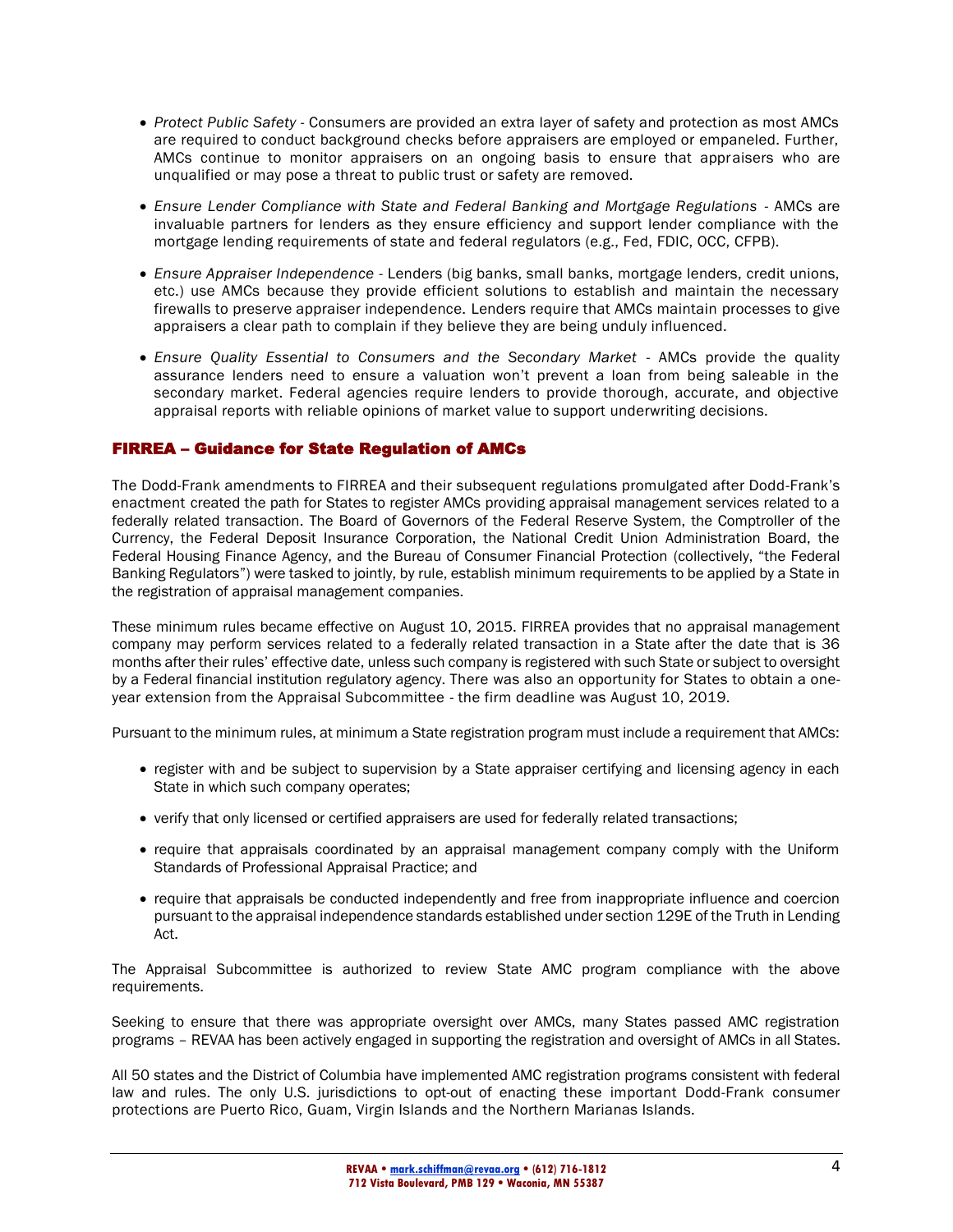- *Protect Public Safety* Consumers are provided an extra layer of safety and protection as most AMCs are required to conduct background checks before appraisers are employed or empaneled. Further, AMCs continue to monitor appraisers on an ongoing basis to ensure that appraisers who are unqualified or may pose a threat to public trust or safety are removed.
- *Ensure Lender Compliance with State and Federal Banking and Mortgage Regulations* AMCs are invaluable partners for lenders as they ensure efficiency and support lender compliance with the mortgage lending requirements of state and federal regulators (e.g., Fed, FDIC, OCC, CFPB).
- *Ensure Appraiser Independence* Lenders (big banks, small banks, mortgage lenders, credit unions, etc.) use AMCs because they provide efficient solutions to establish and maintain the necessary firewalls to preserve appraiser independence. Lenders require that AMCs maintain processes to give appraisers a clear path to complain if they believe they are being unduly influenced.
- *Ensure Quality Essential to Consumers and the Secondary Market* AMCs provide the quality assurance lenders need to ensure a valuation won't prevent a loan from being saleable in the secondary market. Federal agencies require lenders to provide thorough, accurate, and objective appraisal reports with reliable opinions of market value to support underwriting decisions.

#### FIRREA – Guidance for State Regulation of AMCs

The Dodd-Frank amendments to FIRREA and their subsequent regulations promulgated after Dodd-Frank's enactment created the path for States to register AMCs providing appraisal management services related to a federally related transaction. The Board of Governors of the Federal Reserve System, the Comptroller of the Currency, the Federal Deposit Insurance Corporation, the National Credit Union Administration Board, the Federal Housing Finance Agency, and the Bureau of Consumer Financial Protection (collectively, "the Federal Banking Regulators") were tasked to jointly, by rule, establish minimum requirements to be applied by a State in the registration of appraisal management companies.

These minimum rules became effective on August 10, 2015. FIRREA provides that no appraisal management company may perform services related to a federally related transaction in a State after the date that is 36 months after their rules' effective date, unless such company is registered with such State or subject to oversight by a Federal financial institution regulatory agency. There was also an opportunity for States to obtain a oneyear extension from the Appraisal Subcommittee - the firm deadline was August 10, 2019.

Pursuant to the minimum rules, at minimum a State registration program must include a requirement that AMCs:

- register with and be subject to supervision by a State appraiser certifying and licensing agency in each State in which such company operates;
- verify that only licensed or certified appraisers are used for federally related transactions;
- require that appraisals coordinated by an appraisal management company comply with the Uniform Standards of Professional Appraisal Practice; and
- require that appraisals be conducted independently and free from inappropriate influence and coercion pursuant to the appraisal independence standards established under section 129E of the Truth in Lending Act.

The Appraisal Subcommittee is authorized to review State AMC program compliance with the above requirements.

Seeking to ensure that there was appropriate oversight over AMCs, many States passed AMC registration programs – REVAA has been actively engaged in supporting the registration and oversight of AMCs in all States.

All 50 states and the District of Columbia have implemented AMC registration programs consistent with federal law and rules. The only U.S. jurisdictions to opt-out of enacting these important Dodd-Frank consumer protections are Puerto Rico, Guam, Virgin Islands and the Northern Marianas Islands.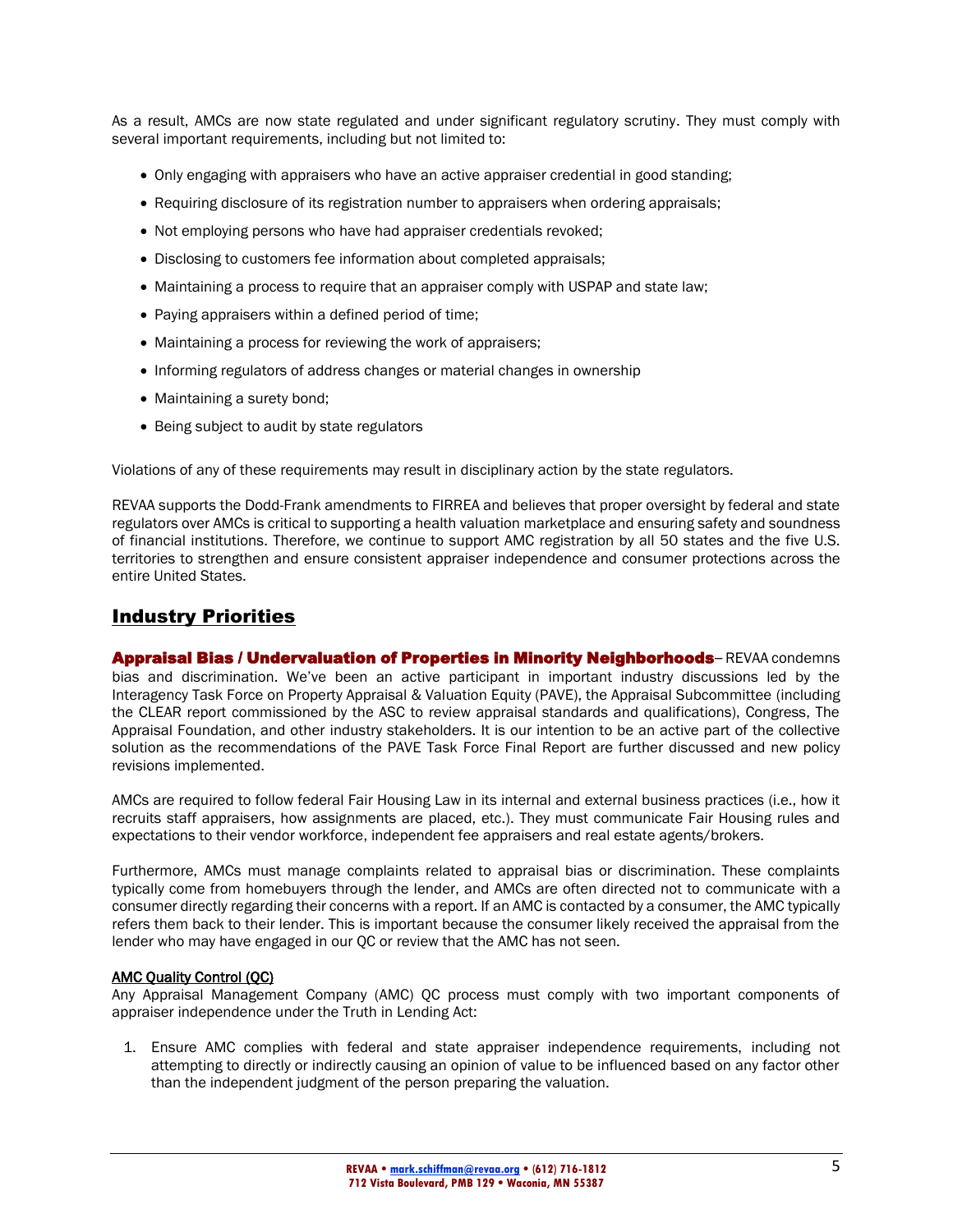As a result, AMCs are now state regulated and under significant regulatory scrutiny. They must comply with several important requirements, including but not limited to:

- Only engaging with appraisers who have an active appraiser credential in good standing;
- Requiring disclosure of its registration number to appraisers when ordering appraisals;
- Not employing persons who have had appraiser credentials revoked;
- Disclosing to customers fee information about completed appraisals;
- Maintaining a process to require that an appraiser comply with USPAP and state law;
- Paying appraisers within a defined period of time;
- Maintaining a process for reviewing the work of appraisers;
- Informing regulators of address changes or material changes in ownership
- Maintaining a surety bond;
- Being subject to audit by state regulators

Violations of any of these requirements may result in disciplinary action by the state regulators.

REVAA supports the Dodd-Frank amendments to FIRREA and believes that proper oversight by federal and state regulators over AMCs is critical to supporting a health valuation marketplace and ensuring safety and soundness of financial institutions. Therefore, we continue to support AMC registration by all 50 states and the five U.S. territories to strengthen and ensure consistent appraiser independence and consumer protections across the entire United States.

### Industry Priorities

Appraisal Bias / Undervaluation of Properties in Minority Neighborhoods-REVAA condemns bias and discrimination. We've been an active participant in important industry discussions led by the Interagency Task Force on Property Appraisal & Valuation Equity (PAVE), the Appraisal Subcommittee (including the CLEAR report commissioned by the ASC to review appraisal standards and qualifications), Congress, The Appraisal Foundation, and other industry stakeholders. It is our intention to be an active part of the collective solution as the recommendations of the PAVE Task Force Final Report are further discussed and new policy revisions implemented.

AMCs are required to follow federal Fair Housing Law in its internal and external business practices (i.e., how it recruits staff appraisers, how assignments are placed, etc.). They must communicate Fair Housing rules and expectations to their vendor workforce, independent fee appraisers and real estate agents/brokers.

Furthermore, AMCs must manage complaints related to appraisal bias or discrimination. These complaints typically come from homebuyers through the lender, and AMCs are often directed not to communicate with a consumer directly regarding their concerns with a report. If an AMC is contacted by a consumer, the AMC typically refers them back to their lender. This is important because the consumer likely received the appraisal from the lender who may have engaged in our QC or review that the AMC has not seen.

#### AMC Quality Control (QC)

Any Appraisal Management Company (AMC) QC process must comply with two important components of appraiser independence under the Truth in Lending Act:

1. Ensure AMC complies with federal and state appraiser independence requirements, including not attempting to directly or indirectly causing an opinion of value to be influenced based on any factor other than the independent judgment of the person preparing the valuation.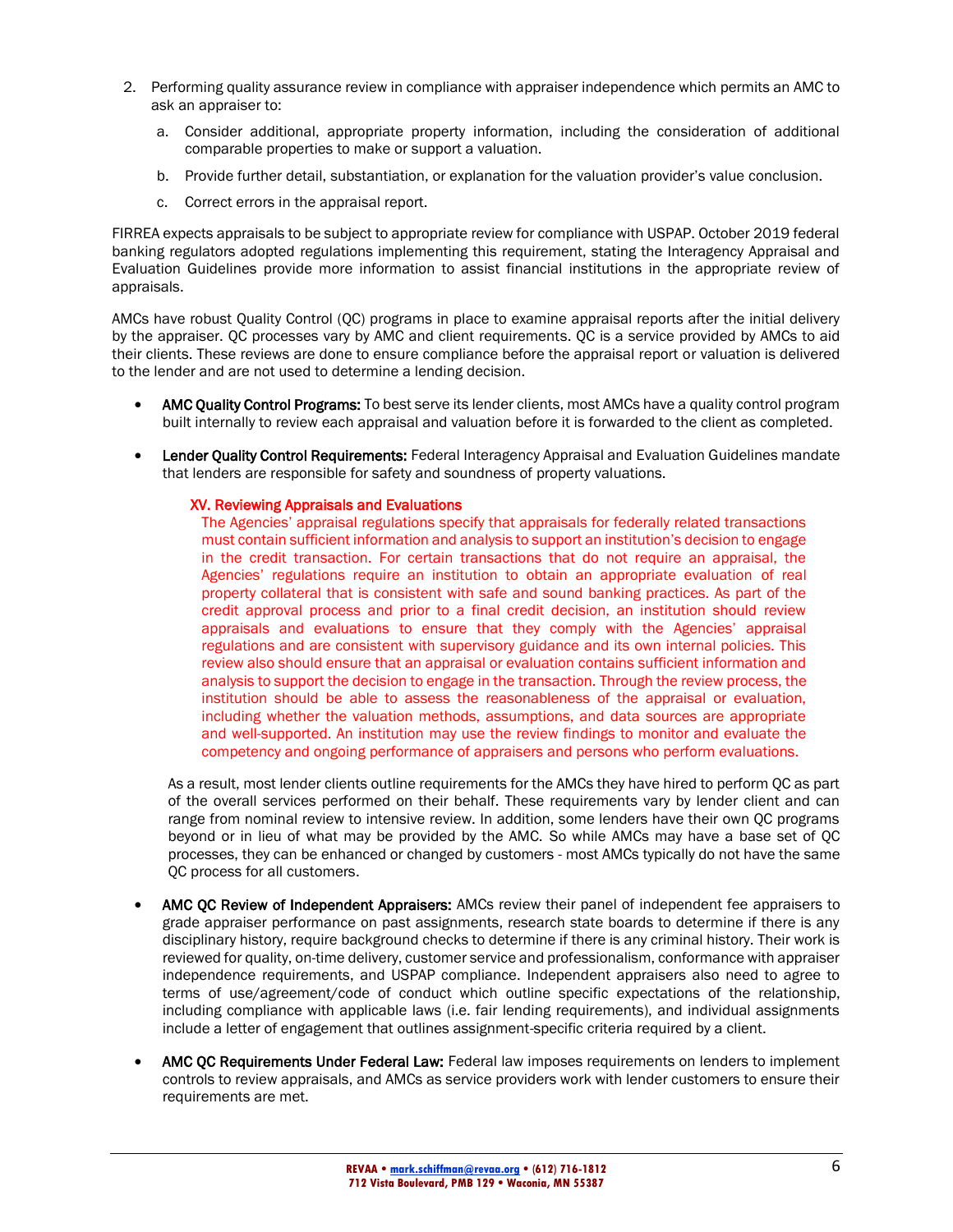- 2. Performing quality assurance review in compliance with appraiser independence which permits an AMC to ask an appraiser to:
	- a. Consider additional, appropriate property information, including the consideration of additional comparable properties to make or support a valuation.
	- b. Provide further detail, substantiation, or explanation for the valuation provider's value conclusion.
	- c. Correct errors in the appraisal report.

FIRREA expects appraisals to be subject to appropriate review for compliance with USPAP. October 2019 federal banking regulators adopted regulations implementing this requirement, stating the Interagency Appraisal and Evaluation Guidelines provide more information to assist financial institutions in the appropriate review of appraisals.

AMCs have robust Quality Control (QC) programs in place to examine appraisal reports after the initial delivery by the appraiser. QC processes vary by AMC and client requirements. QC is a service provided by AMCs to aid their clients. These reviews are done to ensure compliance before the appraisal report or valuation is delivered to the lender and are not used to determine a lending decision.

- AMC Quality Control Programs: To best serve its lender clients, most AMCs have a quality control program built internally to review each appraisal and valuation before it is forwarded to the client as completed.
- **Lender Quality Control Requirements:** Federal Interagency Appraisal and Evaluation Guidelines mandate that lenders are responsible for safety and soundness of property valuations.

#### XV. Reviewing Appraisals and Evaluations

The Agencies' appraisal regulations specify that appraisals for federally related transactions must contain sufficient information and analysis to support an institution's decision to engage in the credit transaction. For certain transactions that do not require an appraisal, the Agencies' regulations require an institution to obtain an appropriate evaluation of real property collateral that is consistent with safe and sound banking practices. As part of the credit approval process and prior to a final credit decision, an institution should review appraisals and evaluations to ensure that they comply with the Agencies' appraisal regulations and are consistent with supervisory guidance and its own internal policies. This review also should ensure that an appraisal or evaluation contains sufficient information and analysis to support the decision to engage in the transaction. Through the review process, the institution should be able to assess the reasonableness of the appraisal or evaluation, including whether the valuation methods, assumptions, and data sources are appropriate and well-supported. An institution may use the review findings to monitor and evaluate the competency and ongoing performance of appraisers and persons who perform evaluations.

As a result, most lender clients outline requirements for the AMCs they have hired to perform QC as part of the overall services performed on their behalf. These requirements vary by lender client and can range from nominal review to intensive review. In addition, some lenders have their own QC programs beyond or in lieu of what may be provided by the AMC. So while AMCs may have a base set of QC processes, they can be enhanced or changed by customers - most AMCs typically do not have the same QC process for all customers.

- AMC QC Review of Independent Appraisers: AMCs review their panel of independent fee appraisers to grade appraiser performance on past assignments, research state boards to determine if there is any disciplinary history, require background checks to determine if there is any criminal history. Their work is reviewed for quality, on-time delivery, customer service and professionalism, conformance with appraiser independence requirements, and USPAP compliance. Independent appraisers also need to agree to terms of use/agreement/code of conduct which outline specific expectations of the relationship, including compliance with applicable laws (i.e. fair lending requirements), and individual assignments include a letter of engagement that outlines assignment-specific criteria required by a client.
- AMC QC Requirements Under Federal Law: Federal law imposes requirements on lenders to implement controls to review appraisals, and AMCs as service providers work with lender customers to ensure their requirements are met.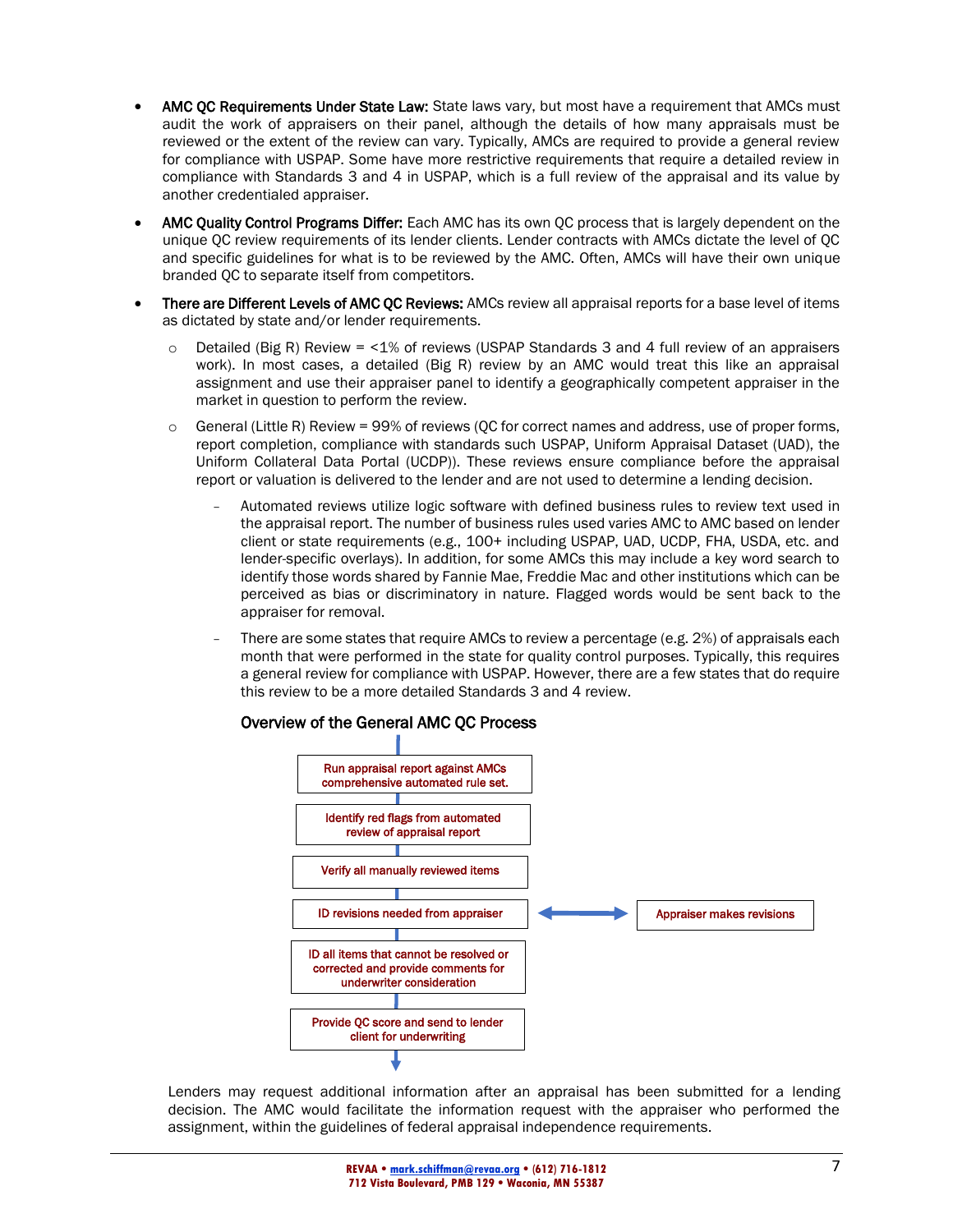- AMC QC Requirements Under State Law: State laws vary, but most have a requirement that AMCs must audit the work of appraisers on their panel, although the details of how many appraisals must be reviewed or the extent of the review can vary. Typically, AMCs are required to provide a general review for compliance with USPAP. Some have more restrictive requirements that require a detailed review in compliance with Standards 3 and 4 in USPAP, which is a full review of the appraisal and its value by another credentialed appraiser.
- AMC Quality Control Programs Differ: Each AMC has its own QC process that is largely dependent on the unique QC review requirements of its lender clients. Lender contracts with AMCs dictate the level of QC and specific guidelines for what is to be reviewed by the AMC. Often, AMCs will have their own unique branded QC to separate itself from competitors.
- There are Different Levels of AMC OC Reviews: AMCs review all appraisal reports for a base level of items as dictated by state and/or lender requirements.
	- $\circ$  Detailed (Big R) Review = <1% of reviews (USPAP Standards 3 and 4 full review of an appraisers work). In most cases, a detailed (Big R) review by an AMC would treat this like an appraisal assignment and use their appraiser panel to identify a geographically competent appraiser in the market in question to perform the review.
	- $\circ$  General (Little R) Review = 99% of reviews (QC for correct names and address, use of proper forms, report completion, compliance with standards such USPAP, Uniform Appraisal Dataset (UAD), the Uniform Collateral Data Portal (UCDP)). These reviews ensure compliance before the appraisal report or valuation is delivered to the lender and are not used to determine a lending decision.
		- Automated reviews utilize logic software with defined business rules to review text used in the appraisal report. The number of business rules used varies AMC to AMC based on lender client or state requirements (e.g., 100+ including USPAP, UAD, UCDP, FHA, USDA, etc. and lender-specific overlays). In addition, for some AMCs this may include a key word search to identify those words shared by Fannie Mae, Freddie Mac and other institutions which can be perceived as bias or discriminatory in nature. Flagged words would be sent back to the appraiser for removal.
		- There are some states that require AMCs to review a percentage (e.g. 2%) of appraisals each month that were performed in the state for quality control purposes. Typically, this requires a general review for compliance with USPAP. However, there are a few states that do require this review to be a more detailed Standards 3 and 4 review.



Overview of the General AMC QC Process

Lenders may request additional information after an appraisal has been submitted for a lending decision. The AMC would facilitate the information request with the appraiser who performed the assignment, within the guidelines of federal appraisal independence requirements.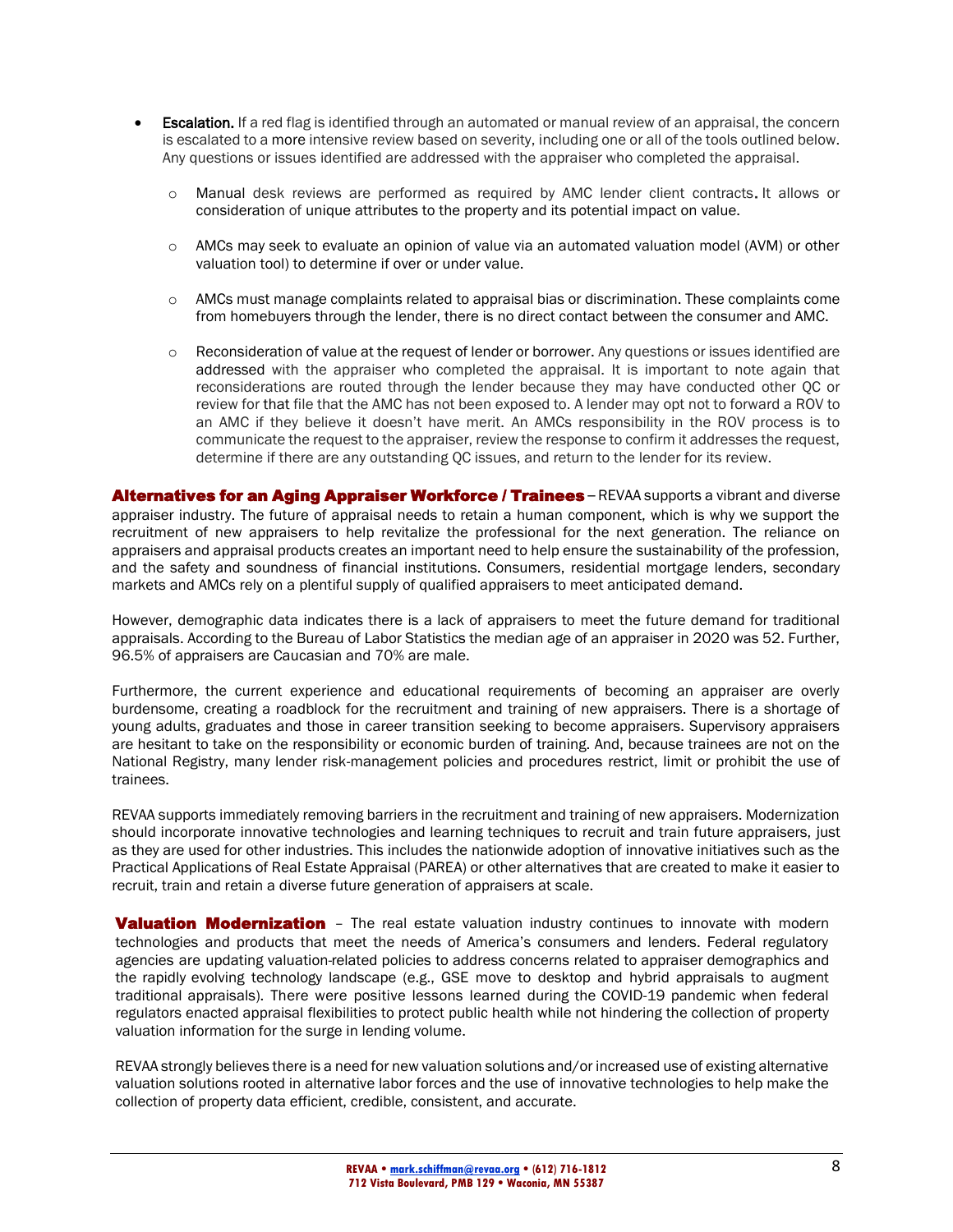- **Escalation.** If a red flag is identified through an automated or manual review of an appraisal, the concern is escalated to a more intensive review based on severity, including one or all of the tools outlined below. Any questions or issues identified are addressed with the appraiser who completed the appraisal.
	- o Manual desk reviews are performed as required by AMC lender client contracts. It allows or consideration of unique attributes to the property and its potential impact on value.
	- o AMCs may seek to evaluate an opinion of value via an automated valuation model (AVM) or other valuation tool) to determine if over or under value.
	- o AMCs must manage complaints related to appraisal bias or discrimination. These complaints come from homebuyers through the lender, there is no direct contact between the consumer and AMC.
	- $\circ$  Reconsideration of value at the request of lender or borrower. Any questions or issues identified are addressed with the appraiser who completed the appraisal. It is important to note again that reconsiderations are routed through the lender because they may have conducted other QC or review for that file that the AMC has not been exposed to. A lender may opt not to forward a ROV to an AMC if they believe it doesn't have merit. An AMCs responsibility in the ROV process is to communicate the request to the appraiser, review the response to confirm it addresses the request, determine if there are any outstanding QC issues, and return to the lender for its review.

Alternatives for an Aging Appraiser Workforce / Trainees - REVAA supports a vibrant and diverse appraiser industry. The future of appraisal needs to retain a human component, which is why we support the recruitment of new appraisers to help revitalize the professional for the next generation. The reliance on appraisers and appraisal products creates an important need to help ensure the sustainability of the profession, and the safety and soundness of financial institutions. Consumers, residential mortgage lenders, secondary markets and AMCs rely on a plentiful supply of qualified appraisers to meet anticipated demand.

However, demographic data indicates there is a lack of appraisers to meet the future demand for traditional appraisals. According to the Bureau of Labor Statistics the median age of an appraiser in 2020 was 52. Further, 96.5% of appraisers are Caucasian and 70% are male.

Furthermore, the current experience and educational requirements of becoming an appraiser are overly burdensome, creating a roadblock for the recruitment and training of new appraisers. There is a shortage of young adults, graduates and those in career transition seeking to become appraisers. Supervisory appraisers are hesitant to take on the responsibility or economic burden of training. And, because trainees are not on the National Registry, many lender risk-management policies and procedures restrict, limit or prohibit the use of trainees.

REVAA supports immediately removing barriers in the recruitment and training of new appraisers. Modernization should incorporate innovative technologies and learning techniques to recruit and train future appraisers, just as they are used for other industries. This includes the nationwide adoption of innovative initiatives such as the Practical Applications of Real Estate Appraisal (PAREA) or other alternatives that are created to make it easier to recruit, train and retain a diverse future generation of appraisers at scale.

**Valuation Modernization** - The real estate valuation industry continues to innovate with modern technologies and products that meet the needs of America's consumers and lenders. Federal regulatory agencies are updating valuation-related policies to address concerns related to appraiser demographics and the rapidly evolving technology landscape (e.g., GSE move to desktop and hybrid appraisals to augment traditional appraisals). There were positive lessons learned during the COVID-19 pandemic when federal regulators enacted appraisal flexibilities to protect public health while not hindering the collection of property valuation information for the surge in lending volume.

REVAA strongly believes there is a need for new valuation solutions and/or increased use of existing alternative valuation solutions rooted in alternative labor forces and the use of innovative technologies to help make the collection of property data efficient, credible, consistent, and accurate.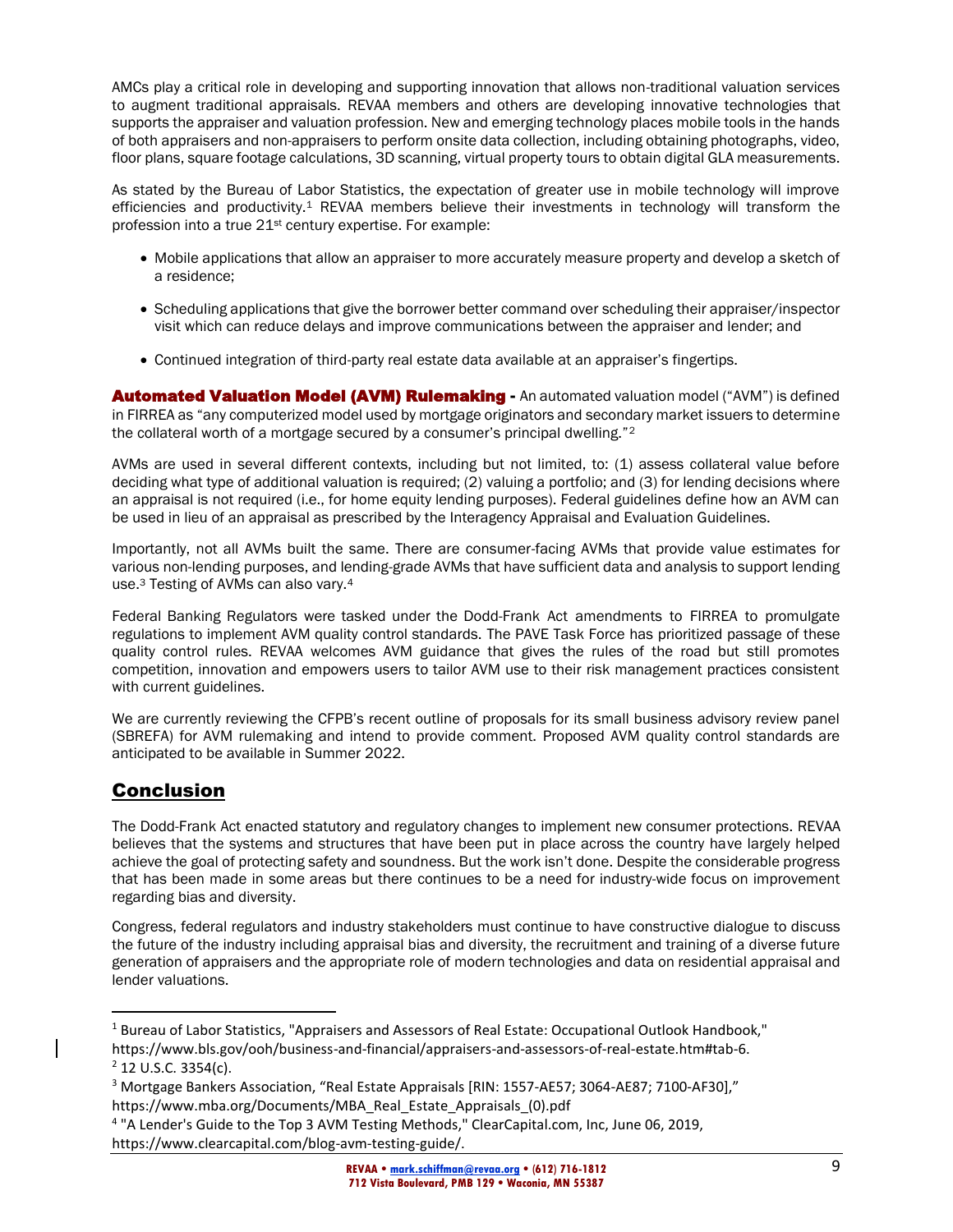AMCs play a critical role in developing and supporting innovation that allows non-traditional valuation services to augment traditional appraisals. REVAA members and others are developing innovative technologies that supports the appraiser and valuation profession. New and emerging technology places mobile tools in the hands of both appraisers and non-appraisers to perform onsite data collection, including obtaining photographs, video, floor plans, square footage calculations, 3D scanning, virtual property tours to obtain digital GLA measurements.

As stated by the Bureau of Labor Statistics, the expectation of greater use in mobile technology will improve efficiencies and productivity.<sup>1</sup> REVAA members believe their investments in technology will transform the profession into a true 21<sup>st</sup> century expertise. For example:

- Mobile applications that allow an appraiser to more accurately measure property and develop a sketch of a residence;
- Scheduling applications that give the borrower better command over scheduling their appraiser/inspector visit which can reduce delays and improve communications between the appraiser and lender; and
- Continued integration of third-party real estate data available at an appraiser's fingertips.

**Automated Valuation Model (AVM) Rulemaking - An automated valuation model ("AVM") is defined** in FIRREA as "any computerized model used by mortgage originators and secondary market issuers to determine the collateral worth of a mortgage secured by a consumer's principal dwelling."<sup>2</sup>

AVMs are used in several different contexts, including but not limited, to: (1) assess collateral value before deciding what type of additional valuation is required; (2) valuing a portfolio; and (3) for lending decisions where an appraisal is not required (i.e., for home equity lending purposes). Federal guidelines define how an AVM can be used in lieu of an appraisal as prescribed by the Interagency Appraisal and Evaluation Guidelines.

Importantly, not all AVMs built the same. There are consumer-facing AVMs that provide value estimates for various non-lending purposes, and lending-grade AVMs that have sufficient data and analysis to support lending use.<sup>3</sup> Testing of AVMs can also vary.<sup>4</sup>

Federal Banking Regulators were tasked under the Dodd-Frank Act amendments to FIRREA to promulgate regulations to implement AVM quality control standards. The PAVE Task Force has prioritized passage of these quality control rules. REVAA welcomes AVM guidance that gives the rules of the road but still promotes competition, innovation and empowers users to tailor AVM use to their risk management practices consistent with current guidelines.

We are currently reviewing the CFPB's recent outline of proposals for its small business advisory review panel (SBREFA) for AVM rulemaking and intend to provide comment. Proposed AVM quality control standards are anticipated to be available in Summer 2022.

### Conclusion

The Dodd-Frank Act enacted statutory and regulatory changes to implement new consumer protections. REVAA believes that the systems and structures that have been put in place across the country have largely helped achieve the goal of protecting safety and soundness. But the work isn't done. Despite the considerable progress that has been made in some areas but there continues to be a need for industry-wide focus on improvement regarding bias and diversity.

Congress, federal regulators and industry stakeholders must continue to have constructive dialogue to discuss the future of the industry including appraisal bias and diversity, the recruitment and training of a diverse future generation of appraisers and the appropriate role of modern technologies and data on residential appraisal and lender valuations.

<sup>&</sup>lt;sup>1</sup> Bureau of Labor Statistics, "Appraisers and Assessors of Real Estate: Occupational Outlook Handbook,"

https://www.bls.gov/ooh/business-and-financial/appraisers-and-assessors-of-real-estate.htm#tab-6.  $2$  12 U.S.C. 3354(c).

<sup>&</sup>lt;sup>3</sup> Mortgage Bankers Association, "Real Estate Appraisals [RIN: 1557-AE57; 3064-AE87; 7100-AF30],"

https://www.mba.org/Documents/MBA\_Real\_Estate\_Appraisals\_(0).pdf

<sup>&</sup>lt;sup>4</sup> "A Lender's Guide to the Top 3 AVM Testing Methods," ClearCapital.com, Inc, June 06, 2019, https://www.clearcapital.com/blog-avm-testing-guide/.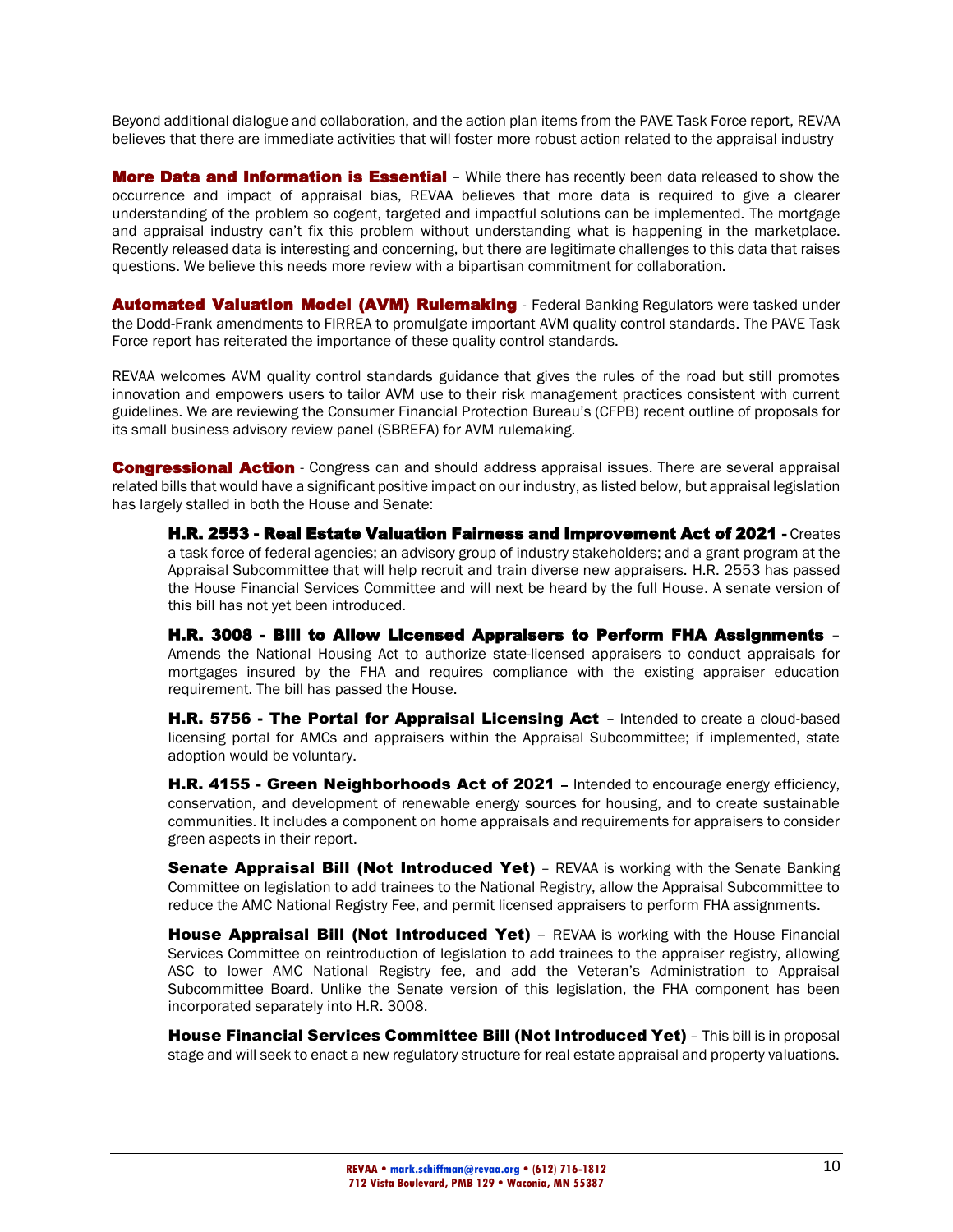Beyond additional dialogue and collaboration, and the action plan items from the PAVE Task Force report, REVAA believes that there are immediate activities that will foster more robust action related to the appraisal industry

**More Data and Information is Essential** - While there has recently been data released to show the occurrence and impact of appraisal bias, REVAA believes that more data is required to give a clearer understanding of the problem so cogent, targeted and impactful solutions can be implemented. The mortgage and appraisal industry can't fix this problem without understanding what is happening in the marketplace. Recently released data is interesting and concerning, but there are legitimate challenges to this data that raises questions. We believe this needs more review with a bipartisan commitment for collaboration.

Automated Valuation Model (AVM) Rulemaking - Federal Banking Regulators were tasked under the Dodd-Frank amendments to FIRREA to promulgate important AVM quality control standards. The PAVE Task Force report has reiterated the importance of these quality control standards.

REVAA welcomes AVM quality control standards guidance that gives the rules of the road but still promotes innovation and empowers users to tailor AVM use to their risk management practices consistent with current guidelines. We are reviewing the Consumer Financial Protection Bureau's (CFPB) recent outline of proposals for its small business advisory review panel (SBREFA) for AVM rulemaking.

**Congressional Action** - Congress can and should address appraisal issues. There are several appraisal related bills that would have a significant positive impact on our industry, as listed below, but appraisal legislation has largely stalled in both the House and Senate:

H.R. 2553 - Real Estate Valuation Fairness and Improvement Act of 2021 - Creates a task force of federal agencies; an advisory group of industry stakeholders; and a grant program at the Appraisal Subcommittee that will help recruit and train diverse new appraisers. H.R. 2553 has passed the House Financial Services Committee and will next be heard by the full House. A senate version of this bill has not yet been introduced.

H.R. 3008 - Bill to Allow Licensed Appraisers to Perform FHA Assignments – Amends the National Housing Act to authorize state-licensed appraisers to conduct appraisals for mortgages insured by the FHA and requires compliance with the existing appraiser education requirement. The bill has passed the House.

H.R. 5756 - The Portal for Appraisal Licensing Act - Intended to create a cloud-based licensing portal for AMCs and appraisers within the Appraisal Subcommittee; if implemented, state adoption would be voluntary.

H.R. 4155 - Green Neighborhoods Act of 2021 - Intended to encourage energy efficiency, conservation, and development of renewable energy sources for housing, and to create sustainable communities. It includes a component on home appraisals and requirements for appraisers to consider green aspects in their report.

**Senate Appraisal Bill (Not Introduced Yet)** - REVAA is working with the Senate Banking Committee on legislation to add trainees to the National Registry, allow the Appraisal Subcommittee to reduce the AMC National Registry Fee, and permit licensed appraisers to perform FHA assignments.

House Appraisal Bill (Not Introduced Yet) - REVAA is working with the House Financial Services Committee on reintroduction of legislation to add trainees to the appraiser registry, allowing ASC to lower AMC National Registry fee, and add the Veteran's Administration to Appraisal Subcommittee Board. Unlike the Senate version of this legislation, the FHA component has been incorporated separately into H.R. 3008.

House Financial Services Committee Bill (Not Introduced Yet) - This bill is in proposal stage and will seek to enact a new regulatory structure for real estate appraisal and property valuations.